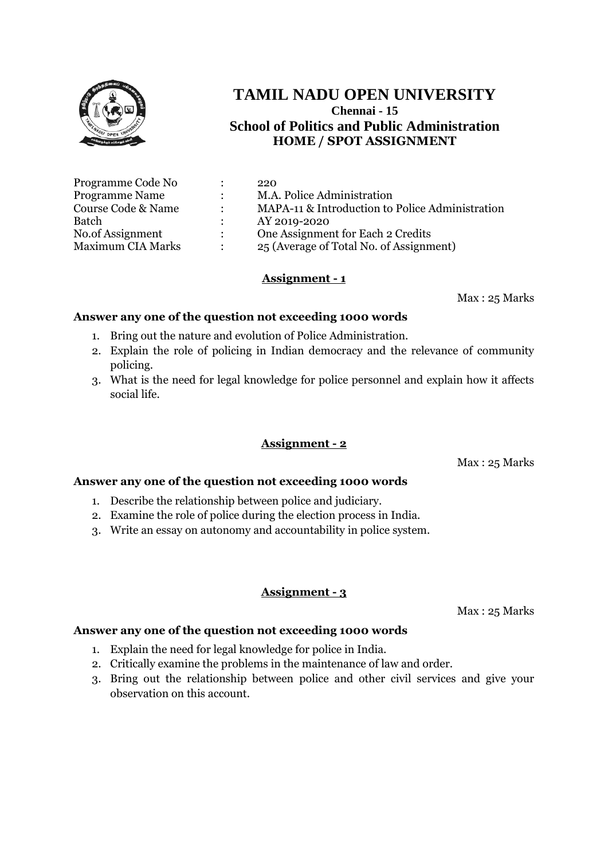

# **TAMIL NADU OPEN UNIVERSITY Chennai - 15 School of Politics and Public Administration HOME / SPOT ASSIGNMENT**

| Programme Code No        |               | 220                                             |
|--------------------------|---------------|-------------------------------------------------|
| <b>Programme Name</b>    |               | M.A. Police Administration                      |
| Course Code & Name       | $\mathcal{L}$ | MAPA-11 & Introduction to Police Administration |
| Batch                    |               | AY 2019-2020                                    |
| No.of Assignment         | $\mathcal{L}$ | One Assignment for Each 2 Credits               |
| <b>Maximum CIA Marks</b> |               | 25 (Average of Total No. of Assignment)         |

## **Assignment - 1**

Max : 25 Marks

## **Answer any one of the question not exceeding 1000 words**

- 1. Bring out the nature and evolution of Police Administration.
- 2. Explain the role of policing in Indian democracy and the relevance of community policing.
- 3. What is the need for legal knowledge for police personnel and explain how it affects social life.

## **Assignment - 2**

Max : 25 Marks

#### **Answer any one of the question not exceeding 1000 words**

- 1. Describe the relationship between police and judiciary.
- 2. Examine the role of police during the election process in India.
- 3. Write an essay on autonomy and accountability in police system.

## **Assignment - 3**

Max : 25 Marks

- 1. Explain the need for legal knowledge for police in India.
- 2. Critically examine the problems in the maintenance of law and order.
- 3. Bring out the relationship between police and other civil services and give your observation on this account.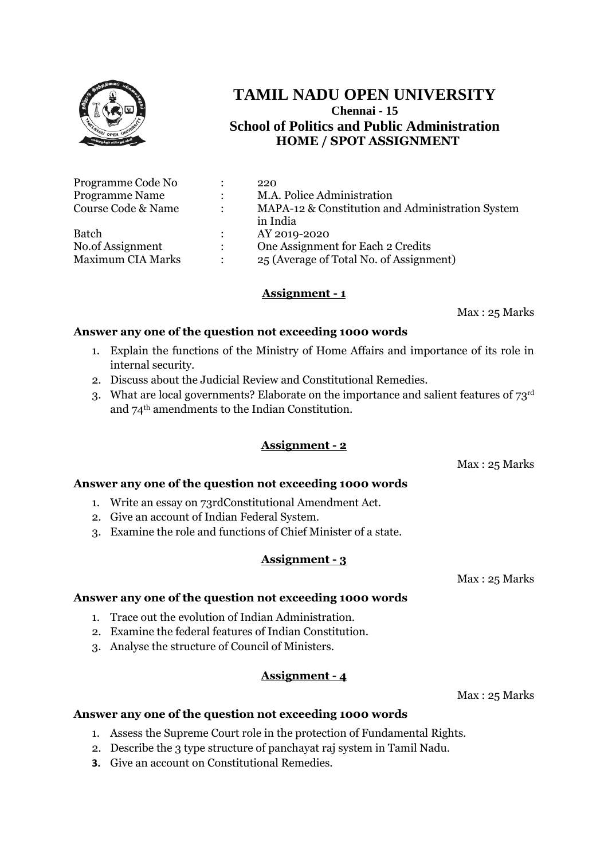

# **TAMIL NADU OPEN UNIVERSITY Chennai - 15 School of Politics and Public Administration HOME / SPOT ASSIGNMENT**

|                | 220                                              |
|----------------|--------------------------------------------------|
|                | M.A. Police Administration                       |
| $\ddot{\cdot}$ | MAPA-12 & Constitution and Administration System |
|                | in India                                         |
|                | AY 2019-2020                                     |
| $\mathcal{L}$  | One Assignment for Each 2 Credits                |
| $\bullet$      | 25 (Average of Total No. of Assignment)          |
|                |                                                  |

## **Assignment - 1**

Max : 25 Marks

## **Answer any one of the question not exceeding 1000 words**

- 1. Explain the functions of the Ministry of Home Affairs and importance of its role in internal security.
- 2. Discuss about the Judicial Review and Constitutional Remedies.
- 3. What are local governments? Elaborate on the importance and salient features of 73rd and 74th amendments to the Indian Constitution.

## **Assignment - 2**

Max : 25 Marks

## **Answer any one of the question not exceeding 1000 words**

- 1. Write an essay on 73rdConstitutional Amendment Act.
- 2. Give an account of Indian Federal System.
- 3. Examine the role and functions of Chief Minister of a state.

## **Assignment - 3**

Max : 25 Marks

## **Answer any one of the question not exceeding 1000 words**

- 1. Trace out the evolution of Indian Administration.
- 2. Examine the federal features of Indian Constitution.
- 3. Analyse the structure of Council of Ministers.

## **Assignment - 4**

Max : 25 Marks

- 1. Assess the Supreme Court role in the protection of Fundamental Rights.
- 2. Describe the 3 type structure of panchayat raj system in Tamil Nadu.
- **3.** Give an account on Constitutional Remedies.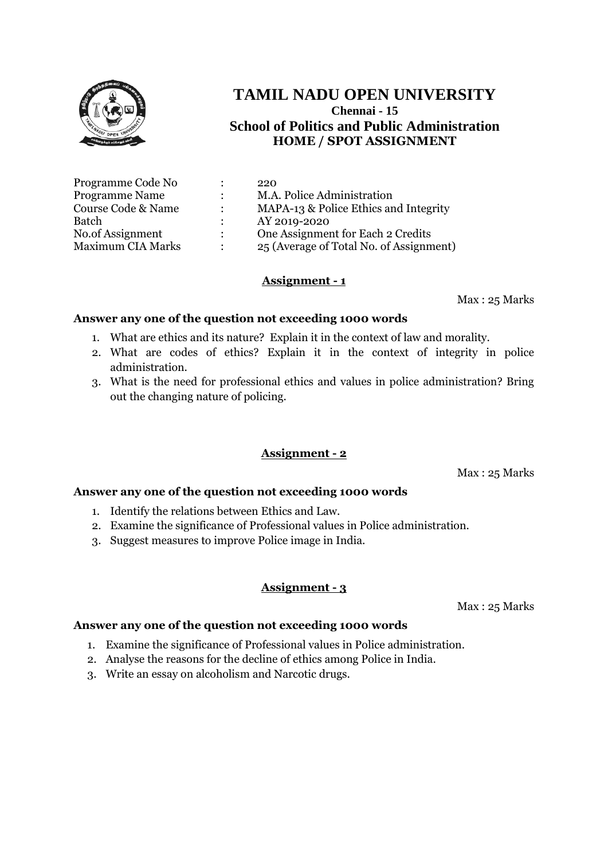

# **TAMIL NADU OPEN UNIVERSITY Chennai - 15 School of Politics and Public Administration HOME / SPOT ASSIGNMENT**

| Programme Code No        |                      | 220                                     |
|--------------------------|----------------------|-----------------------------------------|
| <b>Programme Name</b>    |                      | M.A. Police Administration              |
| Course Code & Name       | $\ddot{\phantom{a}}$ | MAPA-13 & Police Ethics and Integrity   |
| Batch                    |                      | AY 2019-2020                            |
| No.of Assignment         | $\mathcal{L}$        | One Assignment for Each 2 Credits       |
| <b>Maximum CIA Marks</b> | $\bullet$            | 25 (Average of Total No. of Assignment) |

## **Assignment - 1**

Max : 25 Marks

## **Answer any one of the question not exceeding 1000 words**

- 1. What are ethics and its nature? Explain it in the context of law and morality.
- 2. What are codes of ethics? Explain it in the context of integrity in police administration.
- 3. What is the need for professional ethics and values in police administration? Bring out the changing nature of policing.

#### **Assignment - 2**

Max : 25 Marks

## **Answer any one of the question not exceeding 1000 words**

- 1. Identify the relations between Ethics and Law.
- 2. Examine the significance of Professional values in Police administration.
- 3. Suggest measures to improve Police image in India.

## **Assignment - 3**

Max : 25 Marks

- 1. Examine the significance of Professional values in Police administration.
- 2. Analyse the reasons for the decline of ethics among Police in India.
- 3. Write an essay on alcoholism and Narcotic drugs.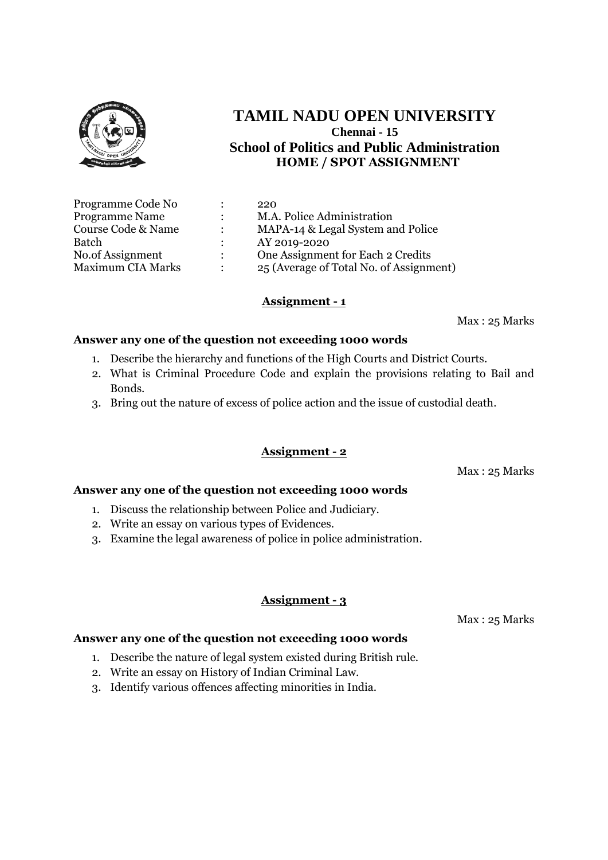

# **TAMIL NADU OPEN UNIVERSITY Chennai - 15 School of Politics and Public Administration HOME / SPOT ASSIGNMENT**

| Programme Code No        |                      | 220                                     |
|--------------------------|----------------------|-----------------------------------------|
| <b>Programme Name</b>    | $\ddot{\phantom{0}}$ | M.A. Police Administration              |
| Course Code & Name       |                      | MAPA-14 & Legal System and Police       |
| <b>Batch</b>             |                      | AY 2019-2020                            |
| No.of Assignment         | $\mathcal{L}$        | One Assignment for Each 2 Credits       |
| <b>Maximum CIA Marks</b> |                      | 25 (Average of Total No. of Assignment) |

#### **Assignment - 1**

Max : 25 Marks

#### **Answer any one of the question not exceeding 1000 words**

- 1. Describe the hierarchy and functions of the High Courts and District Courts.
- 2. What is Criminal Procedure Code and explain the provisions relating to Bail and Bonds.
- 3. Bring out the nature of excess of police action and the issue of custodial death.

#### **Assignment - 2**

Max : 25 Marks

#### **Answer any one of the question not exceeding 1000 words**

- 1. Discuss the relationship between Police and Judiciary.
- 2. Write an essay on various types of Evidences.
- 3. Examine the legal awareness of police in police administration.

#### **Assignment - 3**

Max : 25 Marks

- 1. Describe the nature of legal system existed during British rule.
- 2. Write an essay on History of Indian Criminal Law.
- 3. Identify various offences affecting minorities in India.